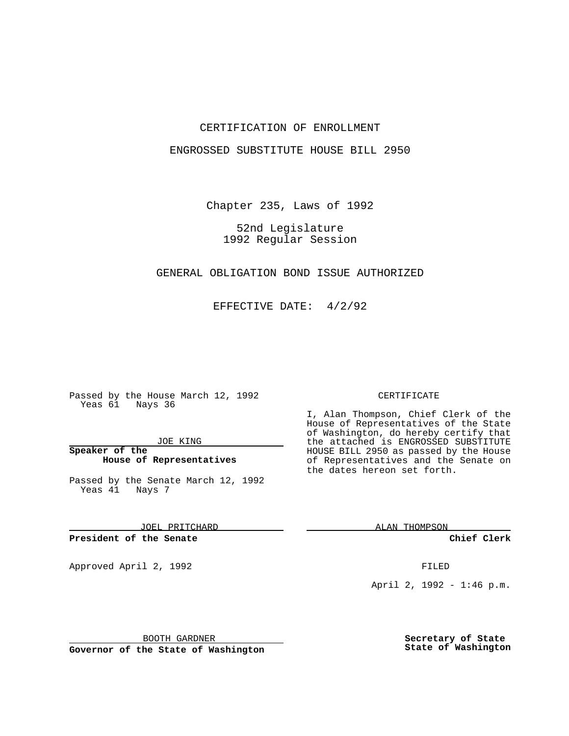## CERTIFICATION OF ENROLLMENT

### ENGROSSED SUBSTITUTE HOUSE BILL 2950

Chapter 235, Laws of 1992

52nd Legislature 1992 Regular Session

#### GENERAL OBLIGATION BOND ISSUE AUTHORIZED

EFFECTIVE DATE: 4/2/92

Passed by the House March 12, 1992 Yeas 61 Nays 36

JOE KING

**Speaker of the House of Representatives**

Passed by the Senate March 12, 1992 Yeas 41 Nays 7

JOEL PRITCHARD

**President of the Senate**

Approved April 2, 1992 **FILED** 

BOOTH GARDNER

**Governor of the State of Washington**

#### CERTIFICATE

I, Alan Thompson, Chief Clerk of the House of Representatives of the State of Washington, do hereby certify that the attached is ENGROSSED SUBSTITUTE HOUSE BILL 2950 as passed by the House of Representatives and the Senate on the dates hereon set forth.

ALAN THOMPSON

**Chief Clerk**

April 2, 1992 - 1:46 p.m.

**Secretary of State State of Washington**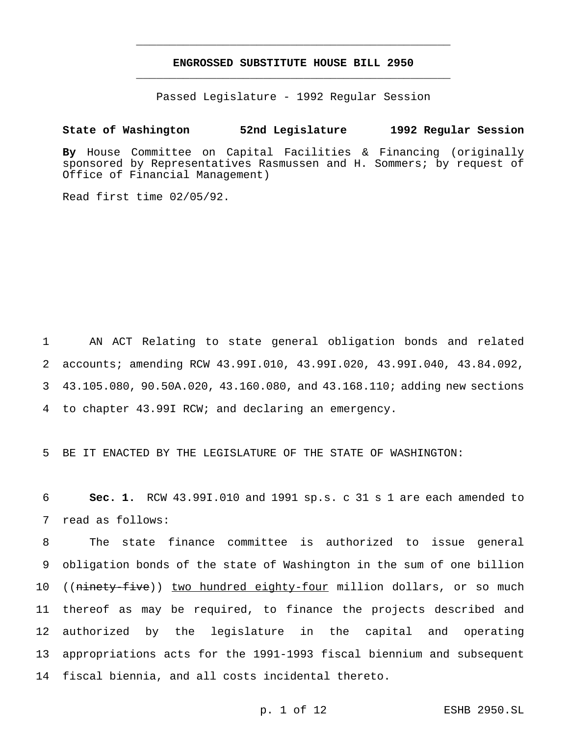# **ENGROSSED SUBSTITUTE HOUSE BILL 2950** \_\_\_\_\_\_\_\_\_\_\_\_\_\_\_\_\_\_\_\_\_\_\_\_\_\_\_\_\_\_\_\_\_\_\_\_\_\_\_\_\_\_\_\_\_\_\_

\_\_\_\_\_\_\_\_\_\_\_\_\_\_\_\_\_\_\_\_\_\_\_\_\_\_\_\_\_\_\_\_\_\_\_\_\_\_\_\_\_\_\_\_\_\_\_

Passed Legislature - 1992 Regular Session

# **State of Washington 52nd Legislature 1992 Regular Session**

**By** House Committee on Capital Facilities & Financing (originally sponsored by Representatives Rasmussen and H. Sommers; by request of Office of Financial Management)

Read first time 02/05/92.

 AN ACT Relating to state general obligation bonds and related accounts; amending RCW 43.99I.010, 43.99I.020, 43.99I.040, 43.84.092, 43.105.080, 90.50A.020, 43.160.080, and 43.168.110; adding new sections to chapter 43.99I RCW; and declaring an emergency.

5 BE IT ENACTED BY THE LEGISLATURE OF THE STATE OF WASHINGTON:

6 **Sec. 1.** RCW 43.99I.010 and 1991 sp.s. c 31 s 1 are each amended to 7 read as follows:

 The state finance committee is authorized to issue general obligation bonds of the state of Washington in the sum of one billion 10 ((ninety-five)) two hundred eighty-four million dollars, or so much thereof as may be required, to finance the projects described and authorized by the legislature in the capital and operating appropriations acts for the 1991-1993 fiscal biennium and subsequent fiscal biennia, and all costs incidental thereto.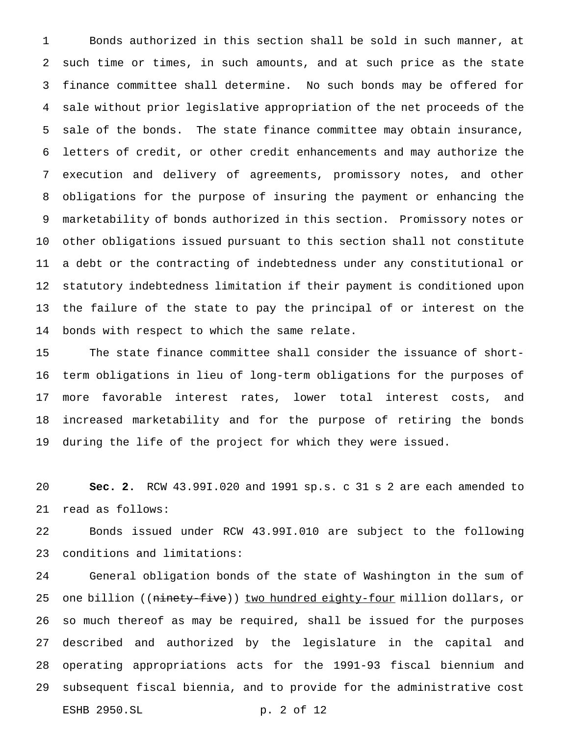Bonds authorized in this section shall be sold in such manner, at such time or times, in such amounts, and at such price as the state finance committee shall determine. No such bonds may be offered for sale without prior legislative appropriation of the net proceeds of the sale of the bonds. The state finance committee may obtain insurance, letters of credit, or other credit enhancements and may authorize the execution and delivery of agreements, promissory notes, and other obligations for the purpose of insuring the payment or enhancing the marketability of bonds authorized in this section. Promissory notes or other obligations issued pursuant to this section shall not constitute a debt or the contracting of indebtedness under any constitutional or statutory indebtedness limitation if their payment is conditioned upon the failure of the state to pay the principal of or interest on the bonds with respect to which the same relate.

 The state finance committee shall consider the issuance of short- term obligations in lieu of long-term obligations for the purposes of more favorable interest rates, lower total interest costs, and increased marketability and for the purpose of retiring the bonds during the life of the project for which they were issued.

 **Sec. 2.** RCW 43.99I.020 and 1991 sp.s. c 31 s 2 are each amended to read as follows:

 Bonds issued under RCW 43.99I.010 are subject to the following conditions and limitations:

 General obligation bonds of the state of Washington in the sum of 25 one billion ((<del>ninety-five</del>)) <u>two hundred eighty-four</u> million dollars, or so much thereof as may be required, shall be issued for the purposes described and authorized by the legislature in the capital and operating appropriations acts for the 1991-93 fiscal biennium and subsequent fiscal biennia, and to provide for the administrative cost ESHB 2950.SL p. 2 of 12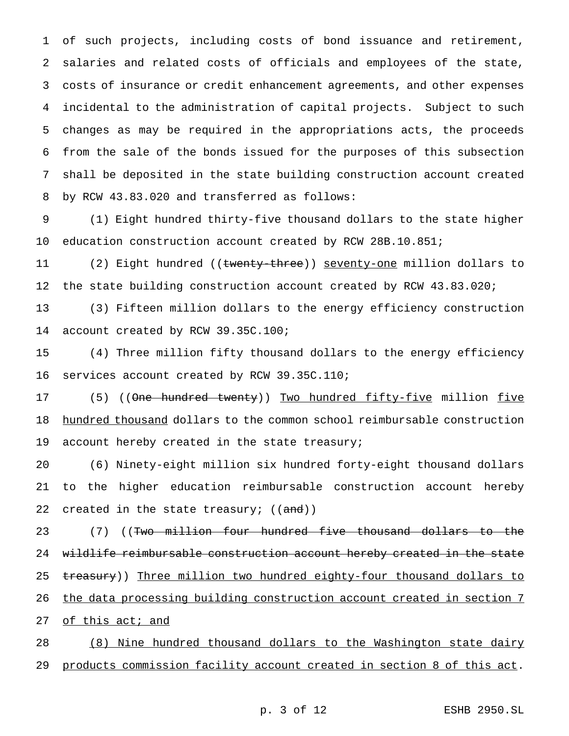of such projects, including costs of bond issuance and retirement, salaries and related costs of officials and employees of the state, costs of insurance or credit enhancement agreements, and other expenses incidental to the administration of capital projects. Subject to such changes as may be required in the appropriations acts, the proceeds from the sale of the bonds issued for the purposes of this subsection shall be deposited in the state building construction account created by RCW 43.83.020 and transferred as follows:

 (1) Eight hundred thirty-five thousand dollars to the state higher education construction account created by RCW 28B.10.851;

11 (2) Eight hundred ((<del>twenty-three</del>)) <u>seventy-one</u> million dollars to 12 the state building construction account created by RCW 43.83.020;

 (3) Fifteen million dollars to the energy efficiency construction account created by RCW 39.35C.100;

 (4) Three million fifty thousand dollars to the energy efficiency services account created by RCW 39.35C.110;

17 (5) ((One hundred twenty)) Two hundred fifty-five million five 18 hundred thousand dollars to the common school reimbursable construction 19 account hereby created in the state treasury;

 (6) Ninety-eight million six hundred forty-eight thousand dollars to the higher education reimbursable construction account hereby 22 created in the state treasury; ((and))

23 (7) ((<del>Two million four hundred five thousand dollars to the</del> wildlife reimbursable construction account hereby created in the state 25 treasury)) Three million two hundred eighty-four thousand dollars to the data processing building construction account created in section 7 27 of this act; and

 (8) Nine hundred thousand dollars to the Washington state dairy products commission facility account created in section 8 of this act.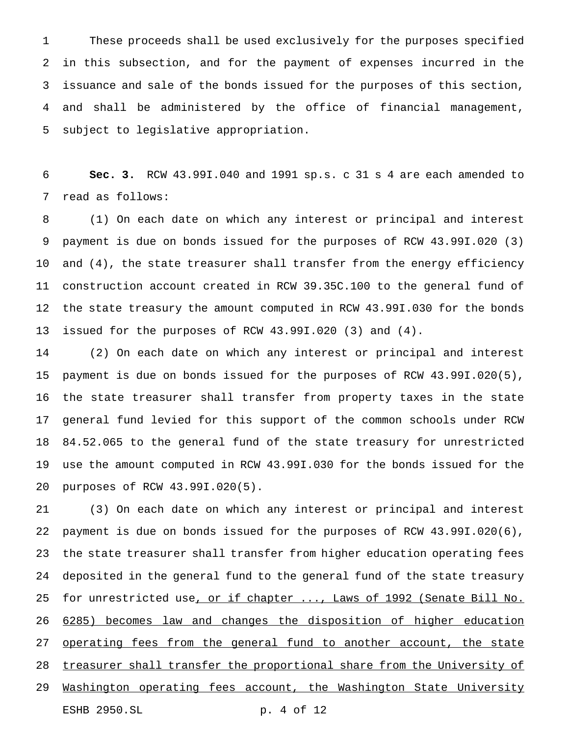These proceeds shall be used exclusively for the purposes specified in this subsection, and for the payment of expenses incurred in the issuance and sale of the bonds issued for the purposes of this section, and shall be administered by the office of financial management, subject to legislative appropriation.

 **Sec. 3.** RCW 43.99I.040 and 1991 sp.s. c 31 s 4 are each amended to read as follows:

 (1) On each date on which any interest or principal and interest payment is due on bonds issued for the purposes of RCW 43.99I.020 (3) and (4), the state treasurer shall transfer from the energy efficiency construction account created in RCW 39.35C.100 to the general fund of the state treasury the amount computed in RCW 43.99I.030 for the bonds issued for the purposes of RCW 43.99I.020 (3) and (4).

 (2) On each date on which any interest or principal and interest payment is due on bonds issued for the purposes of RCW 43.99I.020(5), the state treasurer shall transfer from property taxes in the state general fund levied for this support of the common schools under RCW 84.52.065 to the general fund of the state treasury for unrestricted use the amount computed in RCW 43.99I.030 for the bonds issued for the purposes of RCW 43.99I.020(5).

 (3) On each date on which any interest or principal and interest payment is due on bonds issued for the purposes of RCW 43.99I.020(6), the state treasurer shall transfer from higher education operating fees deposited in the general fund to the general fund of the state treasury 25 for unrestricted use, or if chapter ..., Laws of 1992 (Senate Bill No. 6285) becomes law and changes the disposition of higher education 27 operating fees from the general fund to another account, the state 28 treasurer shall transfer the proportional share from the University of 29 Washington operating fees account, the Washington State University ESHB 2950.SL p. 4 of 12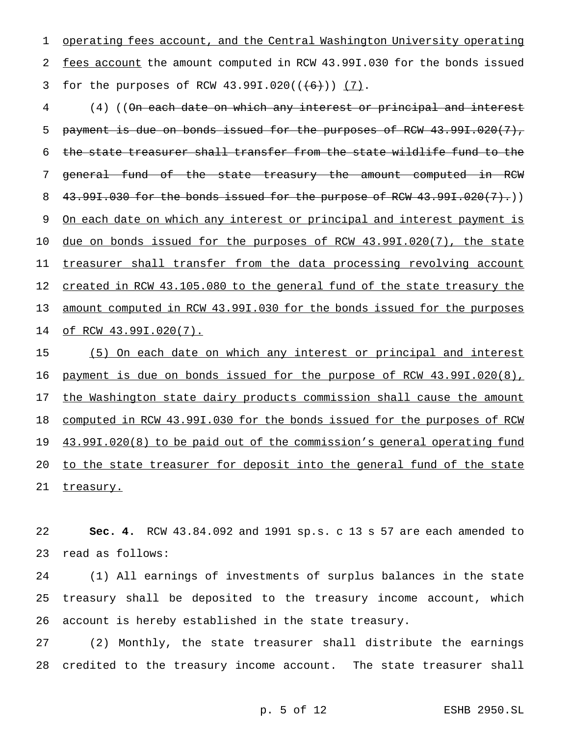operating fees account, and the Central Washington University operating fees account the amount computed in RCW 43.99I.030 for the bonds issued 3 for the purposes of RCW  $43.991.020((\text{(+6)})) (7)$ .

 (4) ((On each date on which any interest or principal and interest 5 payment is due on bonds issued for the purposes of RCW 43.99I.020(7), the state treasurer shall transfer from the state wildlife fund to the general fund of the state treasury the amount computed in RCW 8 43.99I.030 for the bonds issued for the purpose of RCW 43.99I.020(7).) 9 On each date on which any interest or principal and interest payment is due on bonds issued for the purposes of RCW 43.99I.020(7), the state 11 treasurer shall transfer from the data processing revolving account 12 created in RCW 43.105.080 to the general fund of the state treasury the amount computed in RCW 43.99I.030 for the bonds issued for the purposes of RCW 43.99I.020(7).

 (5) On each date on which any interest or principal and interest payment is due on bonds issued for the purpose of RCW 43.99I.020(8), 17 the Washington state dairy products commission shall cause the amount computed in RCW 43.99I.030 for the bonds issued for the purposes of RCW 19 43.99I.020(8) to be paid out of the commission's general operating fund 20 to the state treasurer for deposit into the general fund of the state 21 treasury.

 **Sec. 4.** RCW 43.84.092 and 1991 sp.s. c 13 s 57 are each amended to read as follows:

 (1) All earnings of investments of surplus balances in the state treasury shall be deposited to the treasury income account, which account is hereby established in the state treasury.

 (2) Monthly, the state treasurer shall distribute the earnings credited to the treasury income account. The state treasurer shall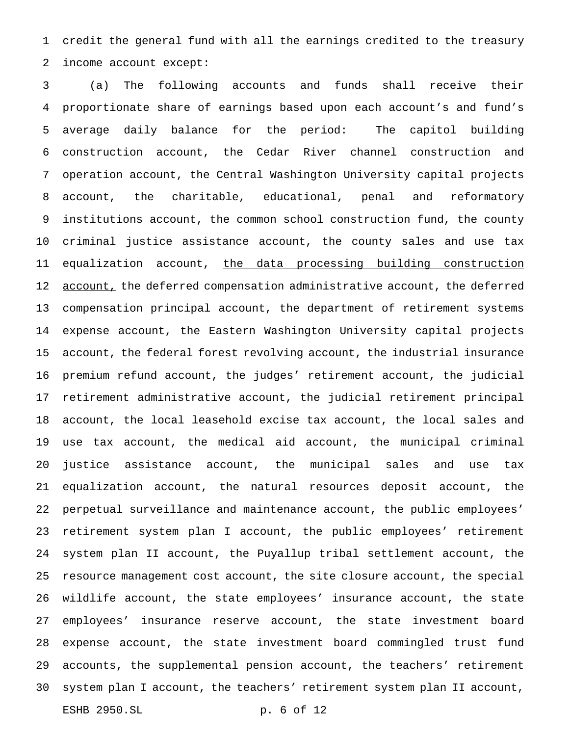credit the general fund with all the earnings credited to the treasury income account except:

 (a) The following accounts and funds shall receive their proportionate share of earnings based upon each account's and fund's average daily balance for the period: The capitol building construction account, the Cedar River channel construction and operation account, the Central Washington University capital projects account, the charitable, educational, penal and reformatory institutions account, the common school construction fund, the county criminal justice assistance account, the county sales and use tax 11 equalization account, the data processing building construction 12 account, the deferred compensation administrative account, the deferred compensation principal account, the department of retirement systems expense account, the Eastern Washington University capital projects account, the federal forest revolving account, the industrial insurance premium refund account, the judges' retirement account, the judicial retirement administrative account, the judicial retirement principal account, the local leasehold excise tax account, the local sales and use tax account, the medical aid account, the municipal criminal justice assistance account, the municipal sales and use tax equalization account, the natural resources deposit account, the perpetual surveillance and maintenance account, the public employees' retirement system plan I account, the public employees' retirement system plan II account, the Puyallup tribal settlement account, the resource management cost account, the site closure account, the special wildlife account, the state employees' insurance account, the state employees' insurance reserve account, the state investment board expense account, the state investment board commingled trust fund accounts, the supplemental pension account, the teachers' retirement system plan I account, the teachers' retirement system plan II account, ESHB 2950.SL p. 6 of 12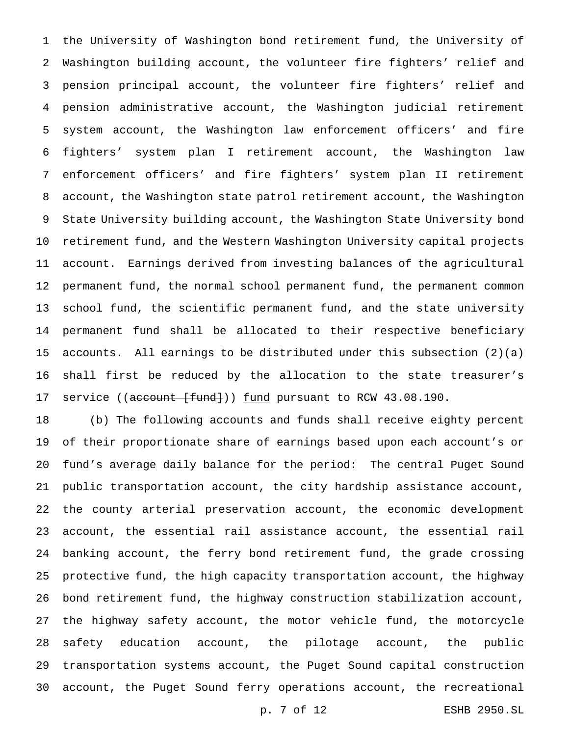the University of Washington bond retirement fund, the University of Washington building account, the volunteer fire fighters' relief and pension principal account, the volunteer fire fighters' relief and pension administrative account, the Washington judicial retirement system account, the Washington law enforcement officers' and fire fighters' system plan I retirement account, the Washington law enforcement officers' and fire fighters' system plan II retirement account, the Washington state patrol retirement account, the Washington State University building account, the Washington State University bond retirement fund, and the Western Washington University capital projects account. Earnings derived from investing balances of the agricultural permanent fund, the normal school permanent fund, the permanent common school fund, the scientific permanent fund, and the state university permanent fund shall be allocated to their respective beneficiary accounts. All earnings to be distributed under this subsection (2)(a) shall first be reduced by the allocation to the state treasurer's 17 service ((account [fund])) fund pursuant to RCW 43.08.190.

 (b) The following accounts and funds shall receive eighty percent of their proportionate share of earnings based upon each account's or fund's average daily balance for the period: The central Puget Sound public transportation account, the city hardship assistance account, the county arterial preservation account, the economic development account, the essential rail assistance account, the essential rail banking account, the ferry bond retirement fund, the grade crossing protective fund, the high capacity transportation account, the highway bond retirement fund, the highway construction stabilization account, the highway safety account, the motor vehicle fund, the motorcycle safety education account, the pilotage account, the public transportation systems account, the Puget Sound capital construction account, the Puget Sound ferry operations account, the recreational

p. 7 of 12 ESHB 2950.SL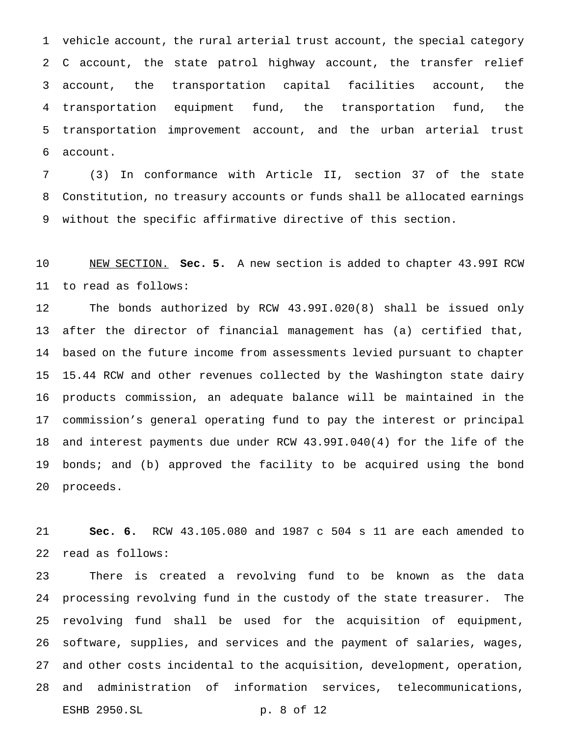vehicle account, the rural arterial trust account, the special category C account, the state patrol highway account, the transfer relief account, the transportation capital facilities account, the transportation equipment fund, the transportation fund, the transportation improvement account, and the urban arterial trust account.

 (3) In conformance with Article II, section 37 of the state Constitution, no treasury accounts or funds shall be allocated earnings without the specific affirmative directive of this section.

 NEW SECTION. **Sec. 5.** A new section is added to chapter 43.99I RCW to read as follows:

 The bonds authorized by RCW 43.99I.020(8) shall be issued only after the director of financial management has (a) certified that, based on the future income from assessments levied pursuant to chapter 15.44 RCW and other revenues collected by the Washington state dairy products commission, an adequate balance will be maintained in the commission's general operating fund to pay the interest or principal and interest payments due under RCW 43.99I.040(4) for the life of the 19 bonds; and (b) approved the facility to be acquired using the bond proceeds.

 **Sec. 6.** RCW 43.105.080 and 1987 c 504 s 11 are each amended to read as follows:

 There is created a revolving fund to be known as the data processing revolving fund in the custody of the state treasurer. The revolving fund shall be used for the acquisition of equipment, software, supplies, and services and the payment of salaries, wages, and other costs incidental to the acquisition, development, operation, and administration of information services, telecommunications, ESHB 2950.SL p. 8 of 12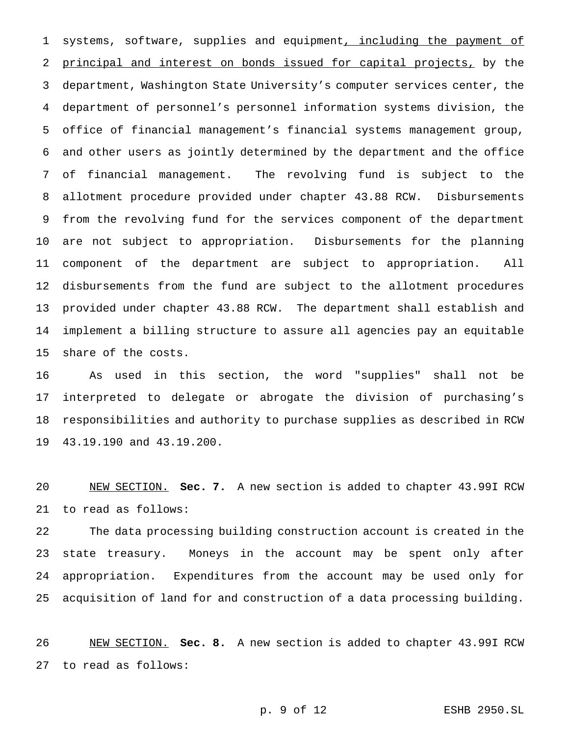1 systems, software, supplies and equipment, including the payment of principal and interest on bonds issued for capital projects, by the department, Washington State University's computer services center, the department of personnel's personnel information systems division, the office of financial management's financial systems management group, and other users as jointly determined by the department and the office of financial management. The revolving fund is subject to the allotment procedure provided under chapter 43.88 RCW. Disbursements from the revolving fund for the services component of the department are not subject to appropriation. Disbursements for the planning component of the department are subject to appropriation. All disbursements from the fund are subject to the allotment procedures provided under chapter 43.88 RCW. The department shall establish and implement a billing structure to assure all agencies pay an equitable share of the costs.

 As used in this section, the word "supplies" shall not be interpreted to delegate or abrogate the division of purchasing's responsibilities and authority to purchase supplies as described in RCW 43.19.190 and 43.19.200.

 NEW SECTION. **Sec. 7.** A new section is added to chapter 43.99I RCW to read as follows:

 The data processing building construction account is created in the state treasury. Moneys in the account may be spent only after appropriation. Expenditures from the account may be used only for acquisition of land for and construction of a data processing building.

 NEW SECTION. **Sec. 8.** A new section is added to chapter 43.99I RCW to read as follows: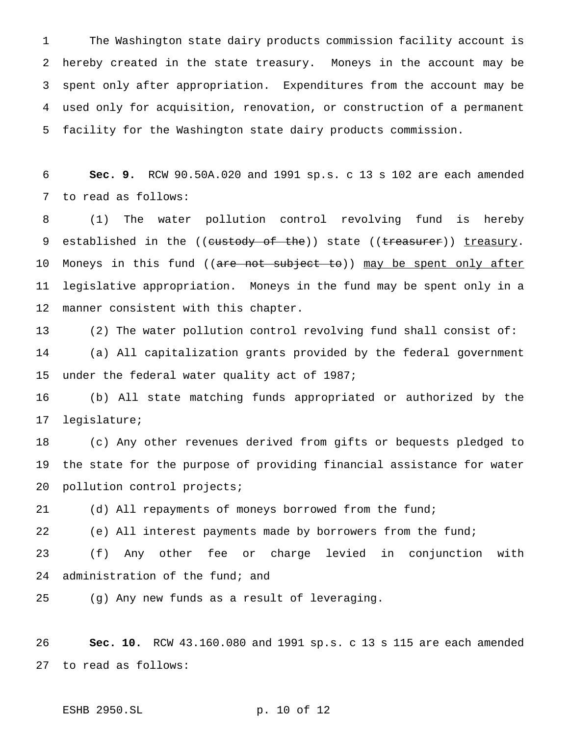The Washington state dairy products commission facility account is hereby created in the state treasury. Moneys in the account may be spent only after appropriation. Expenditures from the account may be used only for acquisition, renovation, or construction of a permanent facility for the Washington state dairy products commission.

 **Sec. 9.** RCW 90.50A.020 and 1991 sp.s. c 13 s 102 are each amended to read as follows:

 (1) The water pollution control revolving fund is hereby 9 established in the ((custody of the)) state ((treasurer)) treasury. 10 Moneys in this fund ((<del>are not subject to</del>)) may be spent only after legislative appropriation. Moneys in the fund may be spent only in a manner consistent with this chapter.

 (2) The water pollution control revolving fund shall consist of: (a) All capitalization grants provided by the federal government under the federal water quality act of 1987;

 (b) All state matching funds appropriated or authorized by the legislature;

 (c) Any other revenues derived from gifts or bequests pledged to the state for the purpose of providing financial assistance for water pollution control projects;

(d) All repayments of moneys borrowed from the fund;

(e) All interest payments made by borrowers from the fund;

 (f) Any other fee or charge levied in conjunction with administration of the fund; and

(g) Any new funds as a result of leveraging.

 **Sec. 10.** RCW 43.160.080 and 1991 sp.s. c 13 s 115 are each amended to read as follows:

ESHB 2950.SL p. 10 of 12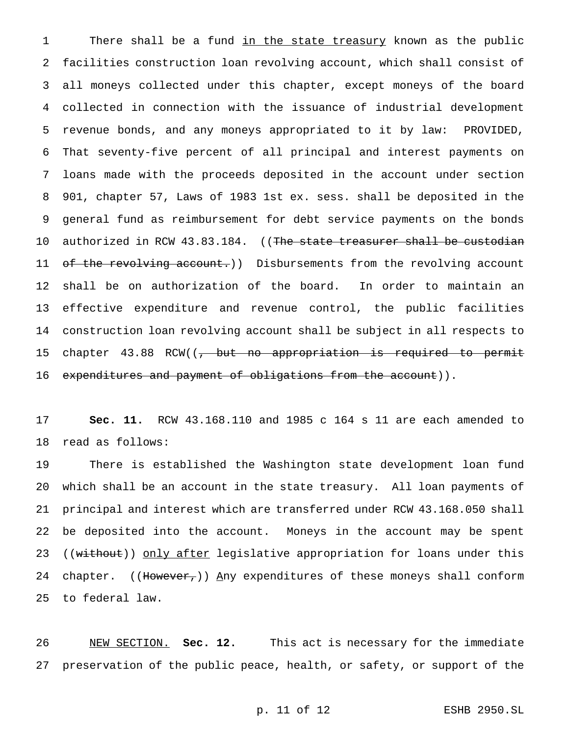1 There shall be a fund in the state treasury known as the public facilities construction loan revolving account, which shall consist of all moneys collected under this chapter, except moneys of the board collected in connection with the issuance of industrial development revenue bonds, and any moneys appropriated to it by law: PROVIDED, That seventy-five percent of all principal and interest payments on loans made with the proceeds deposited in the account under section 901, chapter 57, Laws of 1983 1st ex. sess. shall be deposited in the general fund as reimbursement for debt service payments on the bonds 10 authorized in RCW 43.83.184. ((The state treasurer shall be custodian 11 of the revolving account.)) Disbursements from the revolving account shall be on authorization of the board. In order to maintain an effective expenditure and revenue control, the public facilities construction loan revolving account shall be subject in all respects to 15 chapter 43.88 RCW((<del>, but no appropriation is required to permit</del> 16 expenditures and payment of obligations from the account)).

 **Sec. 11.** RCW 43.168.110 and 1985 c 164 s 11 are each amended to read as follows:

 There is established the Washington state development loan fund which shall be an account in the state treasury. All loan payments of principal and interest which are transferred under RCW 43.168.050 shall be deposited into the account. Moneys in the account may be spent 23 ((without)) only after legislative appropriation for loans under this 24 chapter. ((However,)) Any expenditures of these moneys shall conform to federal law.

 NEW SECTION. **Sec. 12.** This act is necessary for the immediate preservation of the public peace, health, or safety, or support of the